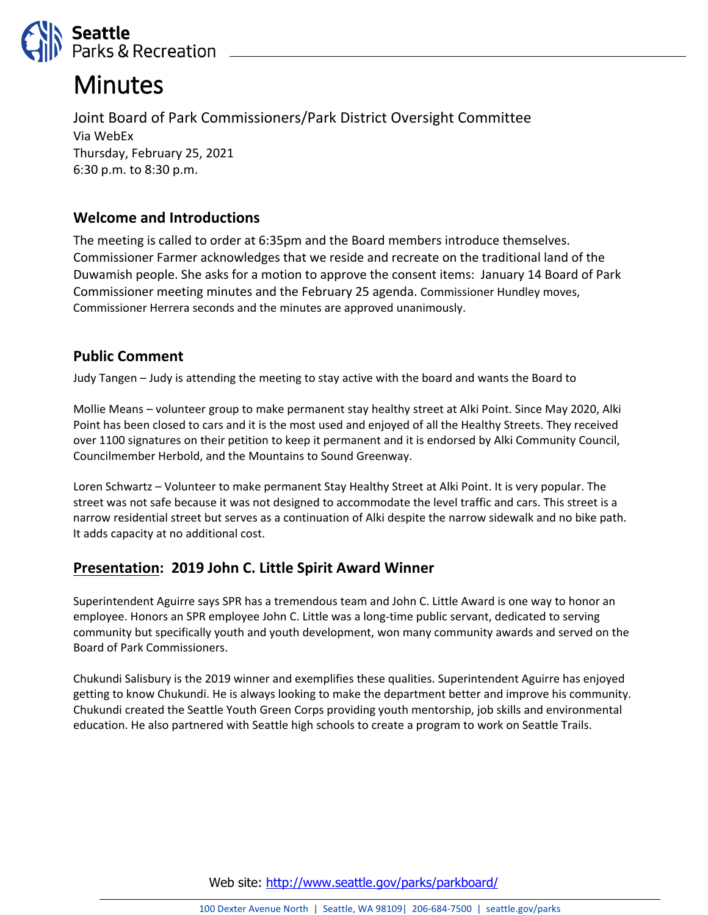

# **Minutes**

Joint Board of Park Commissioners/Park District Oversight Committee Via WebEx Thursday, February 25, 2021 6:30 p.m. to 8:30 p.m.

# **Welcome and Introductions**

The meeting is called to order at 6:35pm and the Board members introduce themselves. Commissioner Farmer acknowledges that we reside and recreate on the traditional land of the Duwamish people. She asks for a motion to approve the consent items: January 14 Board of Park Commissioner meeting minutes and the February 25 agenda. Commissioner Hundley moves, Commissioner Herrera seconds and the minutes are approved unanimously.

# **Public Comment**

Judy Tangen – Judy is attending the meeting to stay active with the board and wants the Board to

Mollie Means – volunteer group to make permanent stay healthy street at Alki Point. Since May 2020, Alki Point has been closed to cars and it is the most used and enjoyed of all the Healthy Streets. They received over 1100 signatures on their petition to keep it permanent and it is endorsed by Alki Community Council, Councilmember Herbold, and the Mountains to Sound Greenway.

Loren Schwartz – Volunteer to make permanent Stay Healthy Street at Alki Point. It is very popular. The street was not safe because it was not designed to accommodate the level traffic and cars. This street is a narrow residential street but serves as a continuation of Alki despite the narrow sidewalk and no bike path. It adds capacity at no additional cost.

# **Presentation: 2019 John C. Little Spirit Award Winner**

Superintendent Aguirre says SPR has a tremendous team and John C. Little Award is one way to honor an employee. Honors an SPR employee John C. Little was a long-time public servant, dedicated to serving community but specifically youth and youth development, won many community awards and served on the Board of Park Commissioners.

Chukundi Salisbury is the 2019 winner and exemplifies these qualities. Superintendent Aguirre has enjoyed getting to know Chukundi. He is always looking to make the department better and improve his community. Chukundi created the Seattle Youth Green Corps providing youth mentorship, job skills and environmental education. He also partnered with Seattle high schools to create a program to work on Seattle Trails.

Web site: <http://www.seattle.gov/parks/parkboard/>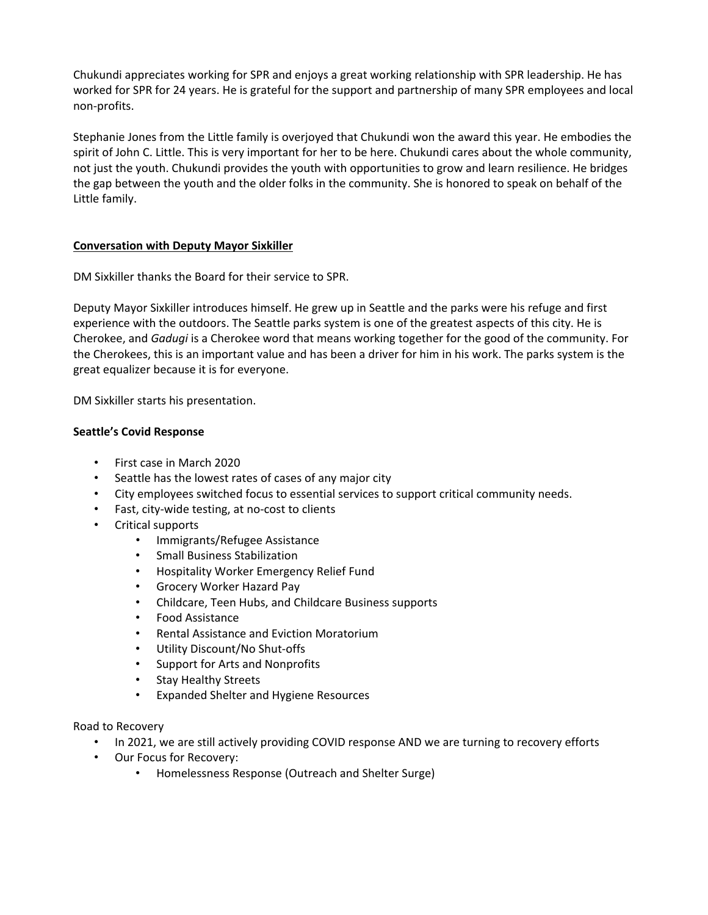Chukundi appreciates working for SPR and enjoys a great working relationship with SPR leadership. He has worked for SPR for 24 years. He is grateful for the support and partnership of many SPR employees and local non-profits.

Stephanie Jones from the Little family is overjoyed that Chukundi won the award this year. He embodies the spirit of John C. Little. This is very important for her to be here. Chukundi cares about the whole community, not just the youth. Chukundi provides the youth with opportunities to grow and learn resilience. He bridges the gap between the youth and the older folks in the community. She is honored to speak on behalf of the Little family.

## **Conversation with Deputy Mayor Sixkiller**

DM Sixkiller thanks the Board for their service to SPR.

Deputy Mayor Sixkiller introduces himself. He grew up in Seattle and the parks were his refuge and first experience with the outdoors. The Seattle parks system is one of the greatest aspects of this city. He is Cherokee, and *Gadugi* is a Cherokee word that means working together for the good of the community. For the Cherokees, this is an important value and has been a driver for him in his work. The parks system is the great equalizer because it is for everyone.

DM Sixkiller starts his presentation.

## **Seattle's Covid Response**

- First case in March 2020
- Seattle has the lowest rates of cases of any major city
- City employees switched focus to essential services to support critical community needs.
- Fast, city-wide testing, at no-cost to clients
- Critical supports
	- Immigrants/Refugee Assistance
	- Small Business Stabilization
	- Hospitality Worker Emergency Relief Fund
	- Grocery Worker Hazard Pay
	- Childcare, Teen Hubs, and Childcare Business supports
	- Food Assistance
	- Rental Assistance and Eviction Moratorium
	- Utility Discount/No Shut-offs
	- Support for Arts and Nonprofits
	- **Stay Healthy Streets**
	- Expanded Shelter and Hygiene Resources

Road to Recovery

- In 2021, we are still actively providing COVID response AND we are turning to recovery efforts
- Our Focus for Recovery:
	- Homelessness Response (Outreach and Shelter Surge)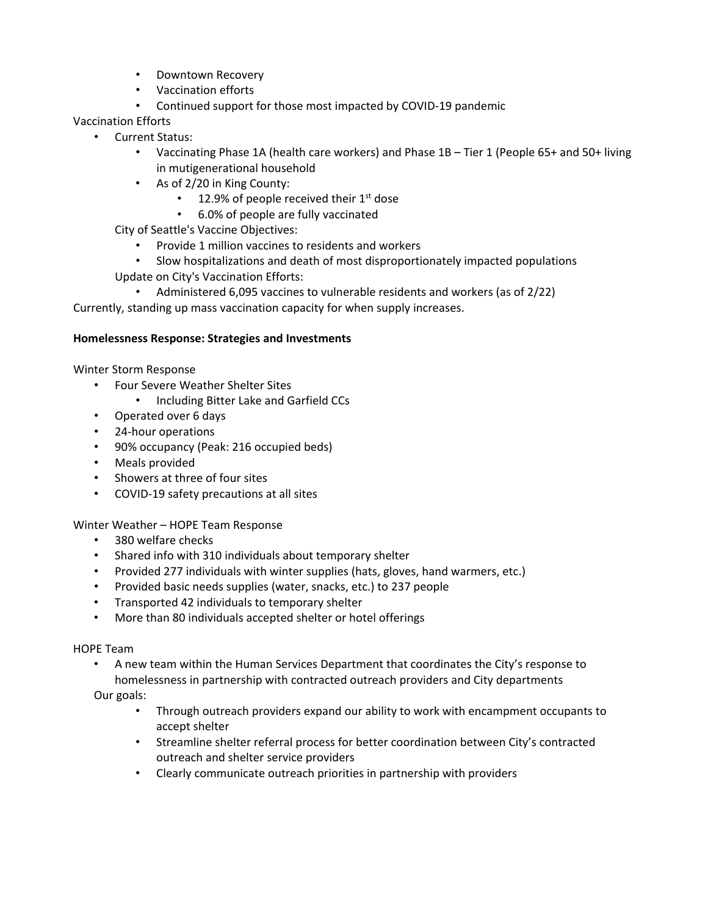- Downtown Recovery
- Vaccination efforts
- Continued support for those most impacted by COVID-19 pandemic

Vaccination Efforts

- Current Status:
	- Vaccinating Phase 1A (health care workers) and Phase 1B Tier 1 (People 65+ and 50+ living in mutigenerational household
	- As of 2/20 in King County:
		- 12.9% of people received their  $1<sup>st</sup>$  dose
		- 6.0% of people are fully vaccinated

City of Seattle's Vaccine Objectives:

- Provide 1 million vaccines to residents and workers
- Slow hospitalizations and death of most disproportionately impacted populations Update on City's Vaccination Efforts:
	- Administered 6,095 vaccines to vulnerable residents and workers (as of 2/22)

Currently, standing up mass vaccination capacity for when supply increases.

## **Homelessness Response: Strategies and Investments**

Winter Storm Response

- Four Severe Weather Shelter Sites
	- Including Bitter Lake and Garfield CCs
- Operated over 6 days
- 24-hour operations
- 90% occupancy (Peak: 216 occupied beds)
- Meals provided
- Showers at three of four sites
- COVID-19 safety precautions at all sites

Winter Weather – HOPE Team Response

- 380 welfare checks
- Shared info with 310 individuals about temporary shelter
- Provided 277 individuals with winter supplies (hats, gloves, hand warmers, etc.)
- Provided basic needs supplies (water, snacks, etc.) to 237 people
- Transported 42 individuals to temporary shelter
- More than 80 individuals accepted shelter or hotel offerings

## HOPE Team

• A new team within the Human Services Department that coordinates the City's response to homelessness in partnership with contracted outreach providers and City departments

Our goals:

- Through outreach providers expand our ability to work with encampment occupants to accept shelter
- Streamline shelter referral process for better coordination between City's contracted outreach and shelter service providers
- Clearly communicate outreach priorities in partnership with providers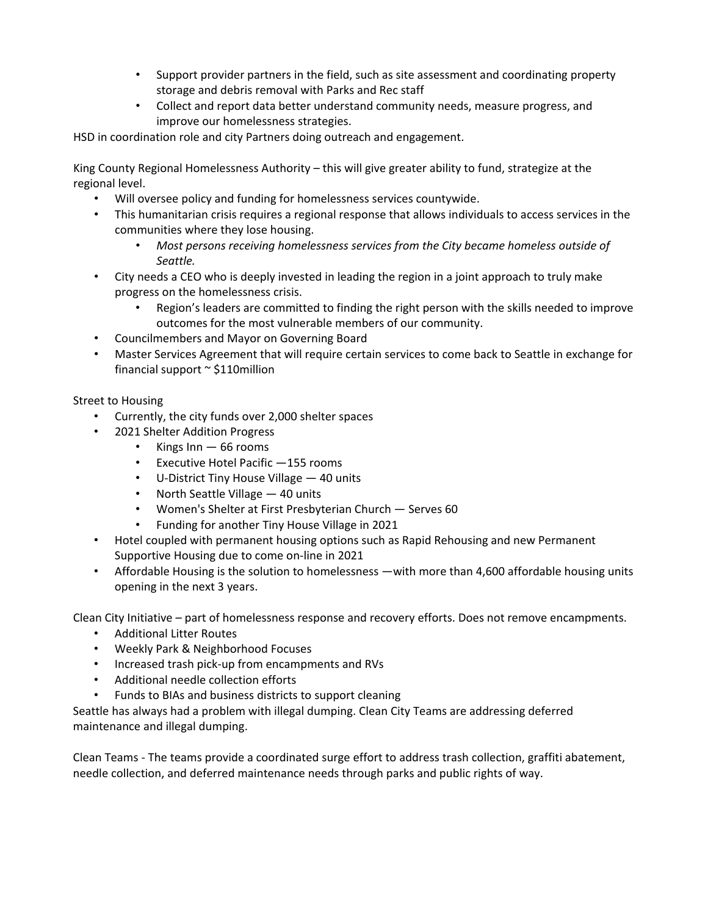- Support provider partners in the field, such as site assessment and coordinating property storage and debris removal with Parks and Rec staff
- Collect and report data better understand community needs, measure progress, and improve our homelessness strategies.

HSD in coordination role and city Partners doing outreach and engagement.

King County Regional Homelessness Authority – this will give greater ability to fund, strategize at the regional level.

- Will oversee policy and funding for homelessness services countywide.
- This humanitarian crisis requires a regional response that allows individuals to access services in the communities where they lose housing.
	- *Most persons receiving homelessness services from the City became homeless outside of Seattle.*
- City needs a CEO who is deeply invested in leading the region in a joint approach to truly make progress on the homelessness crisis.
	- Region's leaders are committed to finding the right person with the skills needed to improve outcomes for the most vulnerable members of our community.
- Councilmembers and Mayor on Governing Board
- Master Services Agreement that will require certain services to come back to Seattle in exchange for financial support  $\sim$  \$110 million

## Street to Housing

- Currently, the city funds over 2,000 shelter spaces
- 2021 Shelter Addition Progress
	- Kings Inn 66 rooms
	- Executive Hotel Pacific —155 rooms
	- U-District Tiny House Village 40 units
	- North Seattle Village 40 units
	- Women's Shelter at First Presbyterian Church Serves 60
	- Funding for another Tiny House Village in 2021
- Hotel coupled with permanent housing options such as Rapid Rehousing and new Permanent Supportive Housing due to come on-line in 2021
- Affordable Housing is the solution to homelessness —with more than 4,600 affordable housing units opening in the next 3 years.

Clean City Initiative – part of homelessness response and recovery efforts. Does not remove encampments.

- Additional Litter Routes
- Weekly Park & Neighborhood Focuses
- Increased trash pick-up from encampments and RVs
- Additional needle collection efforts
- Funds to BIAs and business districts to support cleaning

Seattle has always had a problem with illegal dumping. Clean City Teams are addressing deferred maintenance and illegal dumping.

Clean Teams - The teams provide a coordinated surge effort to address trash collection, graffiti abatement, needle collection, and deferred maintenance needs through parks and public rights of way.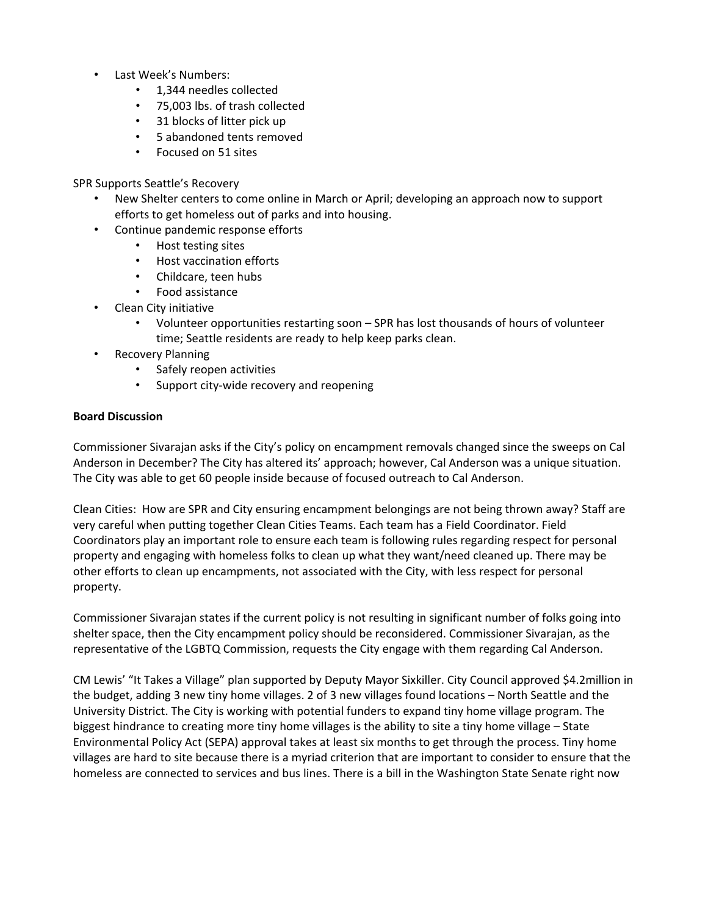- Last Week's Numbers:
	- 1,344 needles collected
	- 75,003 lbs. of trash collected
	- 31 blocks of litter pick up
	- 5 abandoned tents removed
	- Focused on 51 sites

SPR Supports Seattle's Recovery

- New Shelter centers to come online in March or April; developing an approach now to support efforts to get homeless out of parks and into housing.
- Continue pandemic response efforts
	- Host testing sites
	- Host vaccination efforts
	- Childcare, teen hubs
	- Food assistance
- Clean City initiative
	- Volunteer opportunities restarting soon SPR has lost thousands of hours of volunteer time; Seattle residents are ready to help keep parks clean.
- **Recovery Planning** 
	- Safely reopen activities
	- Support city-wide recovery and reopening

## **Board Discussion**

Commissioner Sivarajan asks if the City's policy on encampment removals changed since the sweeps on Cal Anderson in December? The City has altered its' approach; however, Cal Anderson was a unique situation. The City was able to get 60 people inside because of focused outreach to Cal Anderson.

Clean Cities: How are SPR and City ensuring encampment belongings are not being thrown away? Staff are very careful when putting together Clean Cities Teams. Each team has a Field Coordinator. Field Coordinators play an important role to ensure each team is following rules regarding respect for personal property and engaging with homeless folks to clean up what they want/need cleaned up. There may be other efforts to clean up encampments, not associated with the City, with less respect for personal property.

Commissioner Sivarajan states if the current policy is not resulting in significant number of folks going into shelter space, then the City encampment policy should be reconsidered. Commissioner Sivarajan, as the representative of the LGBTQ Commission, requests the City engage with them regarding Cal Anderson.

CM Lewis' "It Takes a Village" plan supported by Deputy Mayor Sixkiller. City Council approved \$4.2million in the budget, adding 3 new tiny home villages. 2 of 3 new villages found locations – North Seattle and the University District. The City is working with potential funders to expand tiny home village program. The biggest hindrance to creating more tiny home villages is the ability to site a tiny home village – State Environmental Policy Act (SEPA) approval takes at least six months to get through the process. Tiny home villages are hard to site because there is a myriad criterion that are important to consider to ensure that the homeless are connected to services and bus lines. There is a bill in the Washington State Senate right now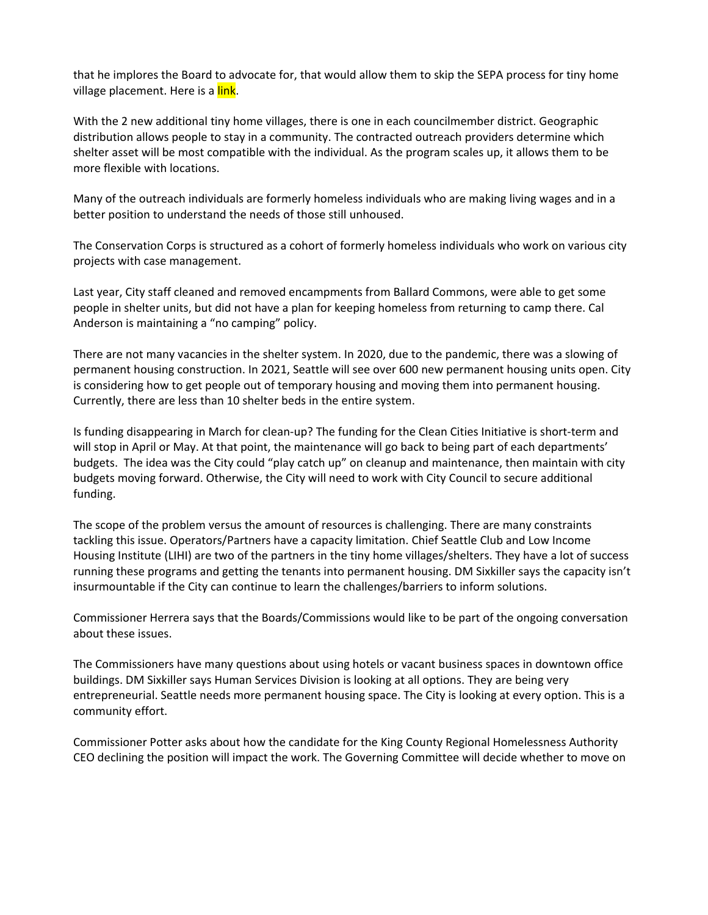that he implores the Board to advocate for, that would allow them to skip the SEPA process for tiny home village placement. Here is a link.

With the 2 new additional tiny home villages, there is one in each councilmember district. Geographic distribution allows people to stay in a community. The contracted outreach providers determine which shelter asset will be most compatible with the individual. As the program scales up, it allows them to be more flexible with locations.

Many of the outreach individuals are formerly homeless individuals who are making living wages and in a better position to understand the needs of those still unhoused.

The Conservation Corps is structured as a cohort of formerly homeless individuals who work on various city projects with case management.

Last year, City staff cleaned and removed encampments from Ballard Commons, were able to get some people in shelter units, but did not have a plan for keeping homeless from returning to camp there. Cal Anderson is maintaining a "no camping" policy.

There are not many vacancies in the shelter system. In 2020, due to the pandemic, there was a slowing of permanent housing construction. In 2021, Seattle will see over 600 new permanent housing units open. City is considering how to get people out of temporary housing and moving them into permanent housing. Currently, there are less than 10 shelter beds in the entire system.

Is funding disappearing in March for clean-up? The funding for the Clean Cities Initiative is short-term and will stop in April or May. At that point, the maintenance will go back to being part of each departments' budgets. The idea was the City could "play catch up" on cleanup and maintenance, then maintain with city budgets moving forward. Otherwise, the City will need to work with City Council to secure additional funding.

The scope of the problem versus the amount of resources is challenging. There are many constraints tackling this issue. Operators/Partners have a capacity limitation. Chief Seattle Club and Low Income Housing Institute (LIHI) are two of the partners in the tiny home villages/shelters. They have a lot of success running these programs and getting the tenants into permanent housing. DM Sixkiller says the capacity isn't insurmountable if the City can continue to learn the challenges/barriers to inform solutions.

Commissioner Herrera says that the Boards/Commissions would like to be part of the ongoing conversation about these issues.

The Commissioners have many questions about using hotels or vacant business spaces in downtown office buildings. DM Sixkiller says Human Services Division is looking at all options. They are being very entrepreneurial. Seattle needs more permanent housing space. The City is looking at every option. This is a community effort.

Commissioner Potter asks about how the candidate for the King County Regional Homelessness Authority CEO declining the position will impact the work. The Governing Committee will decide whether to move on